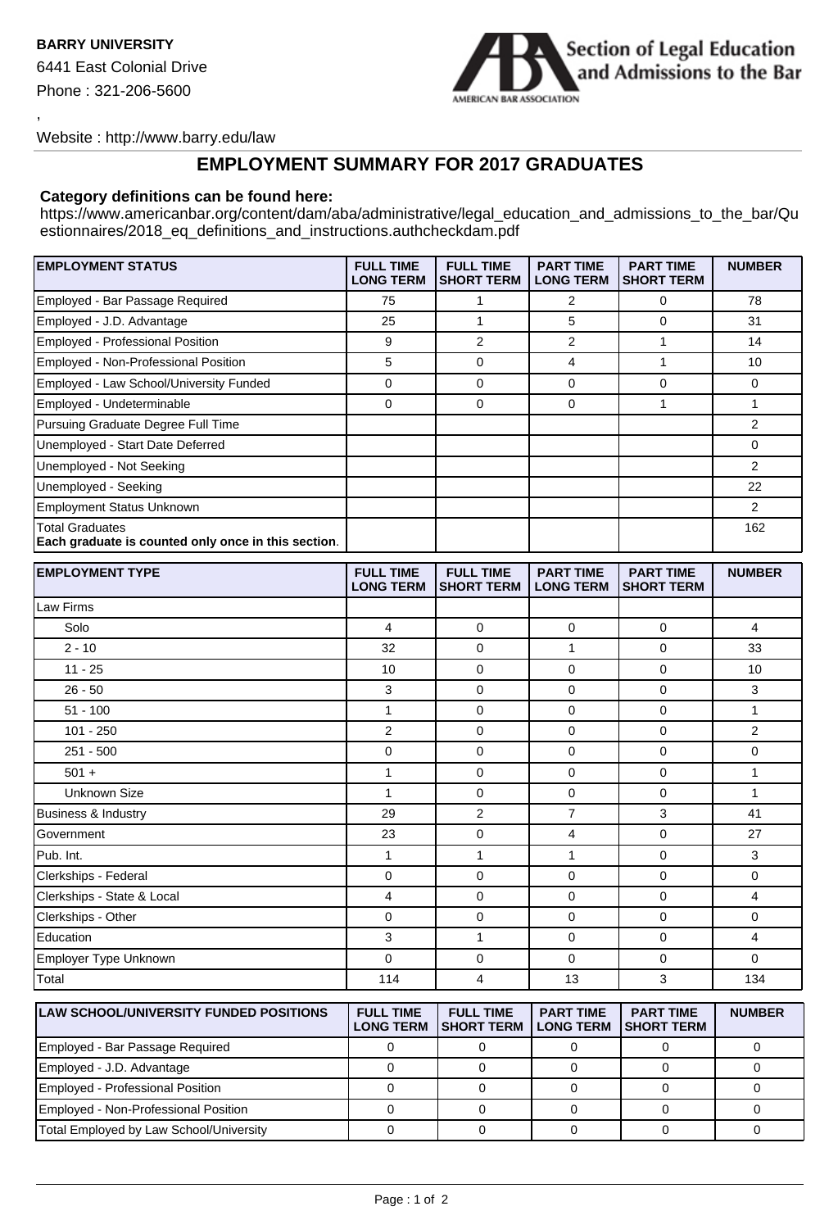,



Website : http://www.barry.edu/law

## **EMPLOYMENT SUMMARY FOR 2017 GRADUATES**

## **Category definitions can be found here:**

https://www.americanbar.org/content/dam/aba/administrative/legal\_education\_and\_admissions\_to\_the\_bar/Qu estionnaires/2018\_eq\_definitions\_and\_instructions.authcheckdam.pdf

| <b>EMPLOYMENT STATUS</b>                                                      | <b>FULL TIME</b><br><b>LONG TERM</b> | <b>FULL TIME</b><br><b>SHORT TERM</b> | <b>PART TIME</b><br><b>LONG TERM</b> | <b>PART TIME</b><br><b>SHORT TERM</b> | <b>NUMBER</b> |
|-------------------------------------------------------------------------------|--------------------------------------|---------------------------------------|--------------------------------------|---------------------------------------|---------------|
| Employed - Bar Passage Required                                               | 75                                   |                                       | 2                                    | 0                                     | 78            |
| Employed - J.D. Advantage                                                     | 25                                   |                                       | 5                                    | $\Omega$                              | 31            |
| Employed - Professional Position                                              | 9                                    | 2                                     | 2                                    |                                       | 14            |
| Employed - Non-Professional Position                                          | 5                                    | 0                                     | 4                                    |                                       | 10            |
| Employed - Law School/University Funded                                       | 0                                    | 0                                     | $\Omega$                             | $\Omega$                              | 0             |
| Employed - Undeterminable                                                     | 0                                    | 0                                     | 0                                    |                                       |               |
| Pursuing Graduate Degree Full Time                                            |                                      |                                       |                                      |                                       | 2             |
| Unemployed - Start Date Deferred                                              |                                      |                                       |                                      |                                       | 0             |
| Unemployed - Not Seeking                                                      |                                      |                                       |                                      |                                       | 2             |
| Unemployed - Seeking                                                          |                                      |                                       |                                      |                                       | 22            |
| <b>Employment Status Unknown</b>                                              |                                      |                                       |                                      |                                       | 2             |
| <b>Total Graduates</b><br>Each graduate is counted only once in this section. |                                      |                                       |                                      |                                       | 162           |

| <b>EMPLOYMENT TYPE</b>                        | <b>FULL TIME</b><br><b>LONG TERM</b> | <b>FULL TIME</b><br><b>SHORT TERM</b> | <b>PART TIME</b><br><b>LONG TERM</b> | <b>PART TIME</b><br><b>SHORT TERM</b> | <b>NUMBER</b>  |
|-----------------------------------------------|--------------------------------------|---------------------------------------|--------------------------------------|---------------------------------------|----------------|
| Law Firms                                     |                                      |                                       |                                      |                                       |                |
| Solo                                          | $\overline{4}$                       | $\mathbf 0$                           | $\mathbf 0$                          | $\mathbf 0$                           | $\overline{4}$ |
| $2 - 10$                                      | 32                                   | 0                                     | 1                                    | 0                                     | 33             |
| $11 - 25$                                     | 10                                   | $\mathbf 0$                           | $\mathbf 0$                          | $\mathbf 0$                           | 10             |
| $26 - 50$                                     | 3                                    | $\mathbf 0$                           | $\mathbf 0$                          | $\mathbf 0$                           | 3              |
| $51 - 100$                                    | 1                                    | $\mathbf 0$                           | $\mathbf 0$                          | $\mathbf 0$                           | $\mathbf{1}$   |
| $101 - 250$                                   | $\overline{2}$                       | $\mathbf 0$                           | $\mathbf{0}$                         | $\mathbf 0$                           | $\overline{2}$ |
| $251 - 500$                                   | $\mathbf 0$                          | $\Omega$                              | $\Omega$                             | $\Omega$                              | $\mathbf 0$    |
| $501 +$                                       | 1                                    | 0                                     | $\mathbf 0$                          | $\mathbf 0$                           | 1              |
| <b>Unknown Size</b>                           | $\mathbf{1}$                         | $\mathbf 0$                           | $\mathbf 0$                          | $\mathbf 0$                           | $\mathbf{1}$   |
| Business & Industry                           | 29                                   | $\overline{2}$                        | $\overline{7}$                       | 3                                     | 41             |
| Government                                    | 23                                   | 0                                     | 4                                    | 0                                     | 27             |
| Pub. Int.                                     | $\mathbf{1}$                         | $\mathbf{1}$                          | 1                                    | $\mathbf 0$                           | 3              |
| Clerkships - Federal                          | $\mathbf 0$                          | $\mathbf 0$                           | $\mathbf 0$                          | $\mathbf 0$                           | $\mathbf 0$    |
| Clerkships - State & Local                    | 4                                    | 0                                     | $\mathbf 0$                          | 0                                     | 4              |
| Clerkships - Other                            | $\mathbf 0$                          | $\mathbf 0$                           | $\mathbf 0$                          | $\mathbf 0$                           | $\mathbf 0$    |
| Education                                     | 3                                    | 1                                     | $\mathbf 0$                          | $\mathbf 0$                           | 4              |
| Employer Type Unknown                         | $\Omega$                             | 0                                     | $\Omega$                             | $\Omega$                              | $\Omega$       |
| Total                                         | 114                                  | 4                                     | 13                                   | 3                                     | 134            |
| <b>LAW SCHOOL/UNIVERSITY FUNDED POSITIONS</b> | <b>FULL TIME</b>                     | <b>FULL TIME</b>                      | <b>PART TIME</b>                     | <b>PART TIME</b>                      | <b>NUMBER</b>  |

| <b>LAW SCHOOL/UNIVERSITY FUNDED POSITIONS</b> | <b>FULL TIME</b> | <b>FULL TIME</b><br>LONG TERM ISHORT TERM I LONG TERM | <b>PART TIME</b> | <b>PART TIME</b><br><b>ISHORT TERM</b> | <b>NUMBER</b> |
|-----------------------------------------------|------------------|-------------------------------------------------------|------------------|----------------------------------------|---------------|
| Employed - Bar Passage Required               |                  |                                                       |                  |                                        |               |
| Employed - J.D. Advantage                     |                  |                                                       |                  |                                        |               |
| Employed - Professional Position              |                  |                                                       |                  |                                        |               |
| Employed - Non-Professional Position          |                  |                                                       |                  |                                        |               |
| Total Employed by Law School/University       |                  |                                                       |                  |                                        |               |